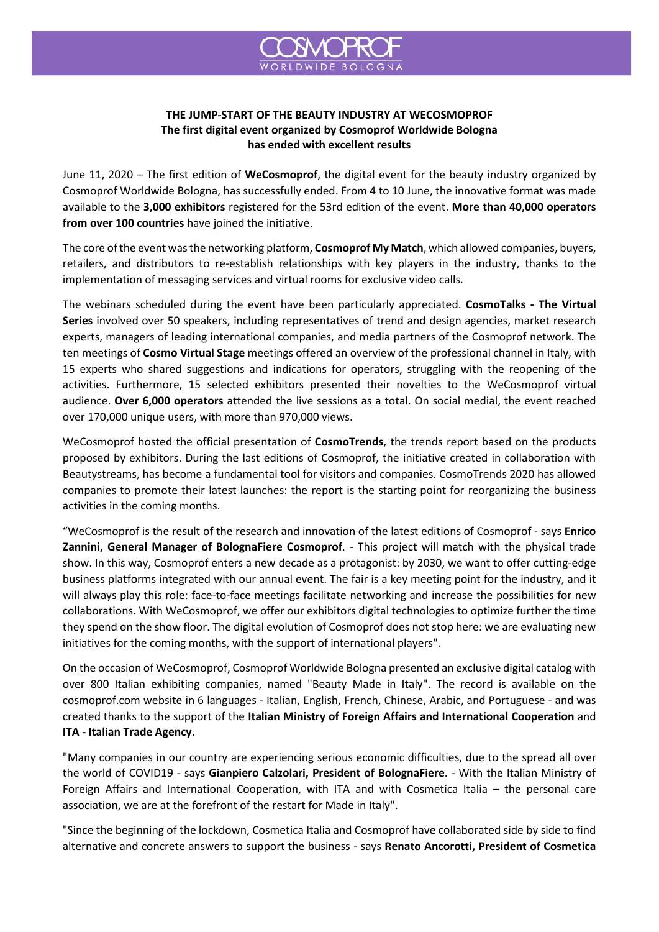

## **THE JUMP-START OF THE BEAUTY INDUSTRY AT WECOSMOPROF The first digital event organized by Cosmoprof Worldwide Bologna has ended with excellent results**

June 11, 2020 – The first edition of **WeCosmoprof**, the digital event for the beauty industry organized by Cosmoprof Worldwide Bologna, has successfully ended. From 4 to 10 June, the innovative format was made available to the **3,000 exhibitors** registered for the 53rd edition of the event. **More than 40,000 operators from over 100 countries** have joined the initiative.

The core of the event was the networking platform, **Cosmoprof My Match**, which allowed companies, buyers, retailers, and distributors to re-establish relationships with key players in the industry, thanks to the implementation of messaging services and virtual rooms for exclusive video calls.

The webinars scheduled during the event have been particularly appreciated. **CosmoTalks - The Virtual Series** involved over 50 speakers, including representatives of trend and design agencies, market research experts, managers of leading international companies, and media partners of the Cosmoprof network. The ten meetings of **Cosmo Virtual Stage** meetings offered an overview of the professional channel in Italy, with 15 experts who shared suggestions and indications for operators, struggling with the reopening of the activities. Furthermore, 15 selected exhibitors presented their novelties to the WeCosmoprof virtual audience. **Over 6,000 operators** attended the live sessions as a total. On social medial, the event reached over 170,000 unique users, with more than 970,000 views.

WeCosmoprof hosted the official presentation of **CosmoTrends**, the trends report based on the products proposed by exhibitors. During the last editions of Cosmoprof, the initiative created in collaboration with Beautystreams, has become a fundamental tool for visitors and companies. CosmoTrends 2020 has allowed companies to promote their latest launches: the report is the starting point for reorganizing the business activities in the coming months.

"WeCosmoprof is the result of the research and innovation of the latest editions of Cosmoprof - says **Enrico Zannini, General Manager of BolognaFiere Cosmoprof**. - This project will match with the physical trade show. In this way, Cosmoprof enters a new decade as a protagonist: by 2030, we want to offer cutting-edge business platforms integrated with our annual event. The fair is a key meeting point for the industry, and it will always play this role: face-to-face meetings facilitate networking and increase the possibilities for new collaborations. With WeCosmoprof, we offer our exhibitors digital technologies to optimize further the time they spend on the show floor. The digital evolution of Cosmoprof does not stop here: we are evaluating new initiatives for the coming months, with the support of international players".

On the occasion of WeCosmoprof, Cosmoprof Worldwide Bologna presented an exclusive digital catalog with over 800 Italian exhibiting companies, named "Beauty Made in Italy". The record is available on the cosmoprof.com website in 6 languages - Italian, English, French, Chinese, Arabic, and Portuguese - and was created thanks to the support of the **Italian Ministry of Foreign Affairs and International Cooperation** and **ITA - Italian Trade Agency**.

"Many companies in our country are experiencing serious economic difficulties, due to the spread all over the world of COVID19 - says **Gianpiero Calzolari, President of BolognaFiere**. - With the Italian Ministry of Foreign Affairs and International Cooperation, with ITA and with Cosmetica Italia – the personal care association, we are at the forefront of the restart for Made in Italy".

"Since the beginning of the lockdown, Cosmetica Italia and Cosmoprof have collaborated side by side to find alternative and concrete answers to support the business - says **Renato Ancorotti, President of Cosmetica**